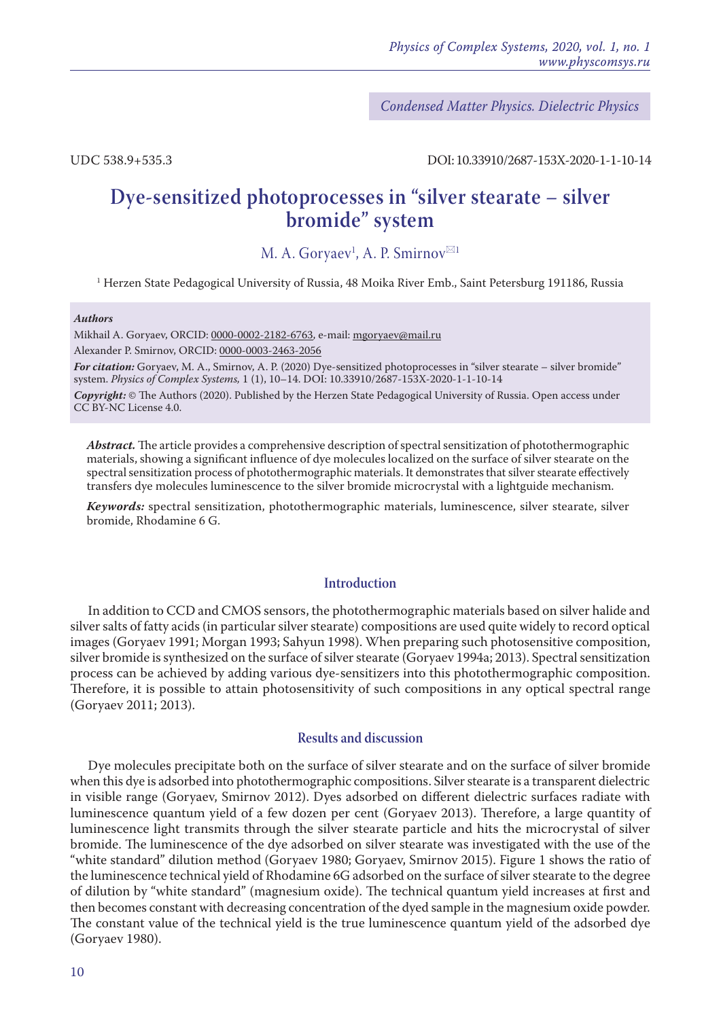*Condensed Matter Physics. Dielectric Physics*

UDC 538.9+535.3 DOI: 10.33910/2687-153X-2020-1-1-10-14

# **Dye-sensitized photoprocesses in "silver stearate – silver bromide" system**

M. A. Gorya $\mathrm{ev}^1$ , A. P. Smirnov $^{\boxtimes 1}$ 

 $^{\rm 1}$ Herzen State Pedagogical University of Russia, 48 Moika River Emb., Saint Petersburg 191186, Russia

#### *Authors*

Mikhail A. Goryaev, ORCID: [0000-0002-2182-6763](https://orcid.org/0000-0002-2182-6763), e-mail: mgoryaev@mail.ru Alexander P. Smirnov, ORCID: [0000-0003-2463-2056](https://orcid.org/0000-0003-2463-2056)

*For citation:* Goryaev, M. A., Smirnov, A. P. (2020) Dye-sensitized photoprocesses in "silver stearate – silver bromide" system. *Physics of Complex Systems,* 1 (1), 10–14. DOI: 10.33910/2687-153X-2020-1-1-10-14

*Copyright:* © The Authors (2020). Published by the Herzen State Pedagogical University of Russia. Open access under [CC BY-NC License 4.0.](https://creativecommons.org/licenses/by-nc/4.0/)

*Abstract.* The article provides a comprehensive description of spectral sensitization of photothermographic materials, showing a significant influence of dye molecules localized on the surface of silver stearate on the spectral sensitization process of photothermographic materials. It demonstrates that silver stearate effectively transfers dye molecules luminescence to the silver bromide microcrystal with a lightguide mechanism.

*Keywords:* spectral sensitization, photothermographic materials, luminescence, silver stearate, silver bromide, Rhodamine 6 G.

# **Introduction**

In addition to CCD and CMOS sensors, the photothermographic materials based on silver halide and silver salts of fatty acids (in particular silver stearate) compositions are used quite widely to record optical images (Goryaev 1991; Morgan 1993; Sahyun 1998). When preparing such photosensitive composition, silver bromide is synthesized on the surface of silver stearate (Goryaev 1994a; 2013). Spectral sensitization process can be achieved by adding various dye-sensitizers into this photothermographic composition. Therefore, it is possible to attain photosensitivity of such compositions in any optical spectral range (Goryaev 2011; 2013).

## **Results and discussion**

Dye molecules precipitate both on the surface of silver stearate and on the surface of silver bromide when this dye is adsorbed into photothermographic compositions. Silver stearate is a transparent dielectric in visible range (Goryaev, Smirnov 2012). Dyes adsorbed on different dielectric surfaces radiate with luminescence quantum yield of a few dozen per cent (Goryaev 2013). Therefore, a large quantity of luminescence light transmits through the silver stearate particle and hits the microcrystal of silver bromide. The luminescence of the dye adsorbed on silver stearate was investigated with the use of the "white standard" dilution method (Goryaev 1980; Goryaev, Smirnov 2015). Figure 1 shows the ratio of the luminescence technical yield of Rhodamine 6G adsorbed on the surface of silver stearate to the degree of dilution by "white standard" (magnesium oxide). The technical quantum yield increases at first and then becomes constant with decreasing concentration of the dyed sample in the magnesium oxide powder. The constant value of the technical yield is the true luminescence quantum yield of the adsorbed dye (Goryaev 1980).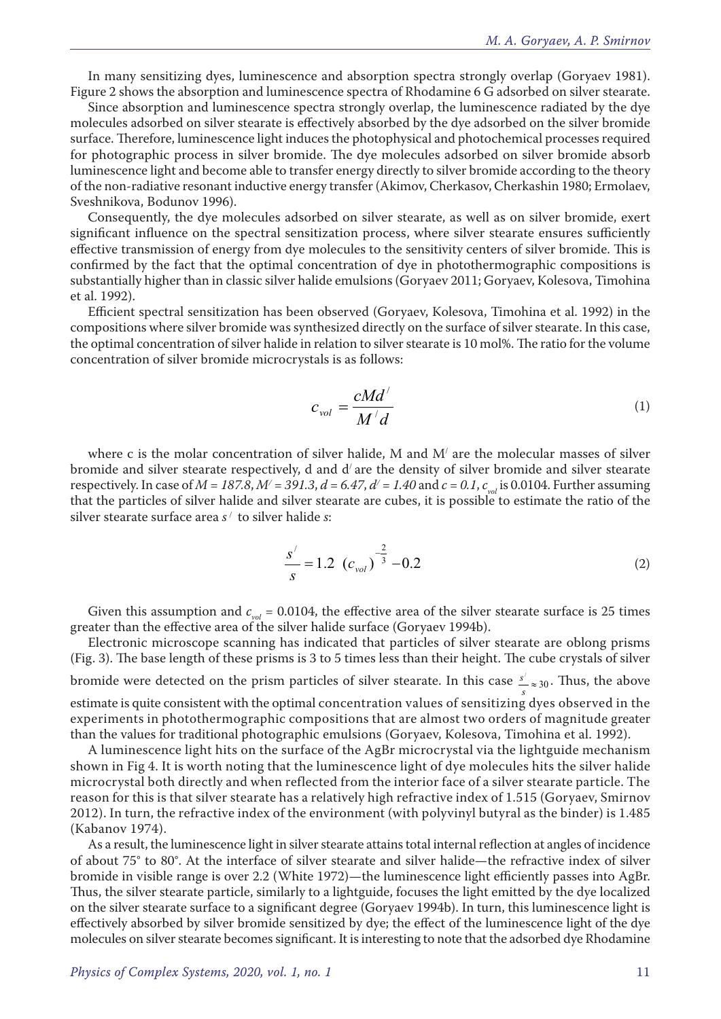In many sensitizing dyes, luminescence and absorption spectra strongly overlap (Goryaev 1981). Figure 2 shows the absorption and luminescence spectra of Rhodamine 6 G adsorbed on silver stearate.

Since absorption and luminescence spectra strongly overlap, the luminescence radiated by the dye molecules adsorbed on silver stearate is effectively absorbed by the dye adsorbed on the silver bromide surface. Therefore, luminescence light induces the photophysical and photochemical processes required for photographic process in silver bromide. The dye molecules adsorbed on silver bromide absorb luminescence light and become able to transfer energy directly to silver bromide according to the theory of the non-radiative resonant inductive energy transfer (Akimov, Cherkasov, Cherkashin 1980; Ermolaev, Sveshnikova, Bodunov 1996).

Consequently, the dye molecules adsorbed on silver stearate, as well as on silver bromide, exert significant influence on the spectral sensitization process, where silver stearate ensures sufficiently effective transmission of energy from dye molecules to the sensitivity centers of silver bromide. This is confirmed by the fact that the optimal concentration of dye in photothermographic compositions is substantially higher than in classic silver halide emulsions (Goryaev 2011; Goryaev, Kolesova, Timohina et al. 1992).

Efficient spectral sensitization has been observed (Goryaev, Kolesova, Timohina et al. 1992) in the compositions where silver bromide was synthesized directly on the surface of silver stearate. In this case, the optimal concentration of silver halide in relation to silver stearate is 10 mol%. The ratio for the volume concentration of silver bromide microcrystals is as follows:

$$
c_{vol} = \frac{cMd'}{M'd}
$$
 (1)

where c is the molar concentration of silver halide, M and M/ are the molecular masses of silver bromide and silver stearate respectively, d and  $d'$  are the density of silver bromide and silver stearate respectively. In case of  $M = 187.8$ ,  $M' = 391.3$ ,  $d = 6.47$ ,  $d' = 1.40$  and  $c = 0.1$ ,  $c_{vol}$  is 0.0104. Further assuming that the particles of silver halide and silver stearate are cubes, it is possible to estimate the ratio of the silver stearate surface area *s* / to silver halide *s*:

$$
\frac{s'}{s} = 1.2 \left( c_{vol} \right)^{-\frac{2}{3}} - 0.2 \tag{2}
$$

Given this assumption and  $c_{vol} = 0.0104$ , the effective area of the silver stearate surface is 25 times greater than the effective area of the silver halide surface (Goryaev 1994b).

Electronic microscope scanning has indicated that particles of silver stearate are oblong prisms (Fig. 3). The base length of these prisms is 3 to 5 times less than their height. The cube crystals of silver bromide were detected on the prism particles of silver stearate. In this case  $\frac{s'}{s} \approx 30$ . Thus, the above estimate is quite consistent with the optimal concentration values of sensitizing dyes observed in the experiments in photothermographic compositions that are almost two orders of magnitude greater than the values for traditional photographic emulsions (Goryaev, Kolesova, Timohina et al. 1992).

A luminescence light hits on the surface of the AgBr microcrystal via the lightguide mechanism shown in Fig 4. It is worth noting that the luminescence light of dye molecules hits the silver halide microcrystal both directly and when reflected from the interior face of a silver stearate particle. The reason for this is that silver stearate has a relatively high refractive index of 1.515 (Goryaev, Smirnov 2012). In turn, the refractive index of the environment (with polyvinyl butyral as the binder) is 1.485 (Kabanov 1974).

As a result, the luminescence light in silver stearate attains total internal reflection at angles of incidence of about 75° to 80°. At the interface of silver stearate and silver halide—the refractive index of silver bromide in visible range is over 2.2 (White 1972)—the luminescence light efficiently passes into AgBr. Thus, the silver stearate particle, similarly to a lightguide, focuses the light emitted by the dye localized on the silver stearate surface to a significant degree (Goryaev 1994b). In turn, this luminescence light is effectively absorbed by silver bromide sensitized by dye; the effect of the luminescence light of the dye molecules on silver stearate becomes significant. It is interesting to note that the adsorbed dye Rhodamine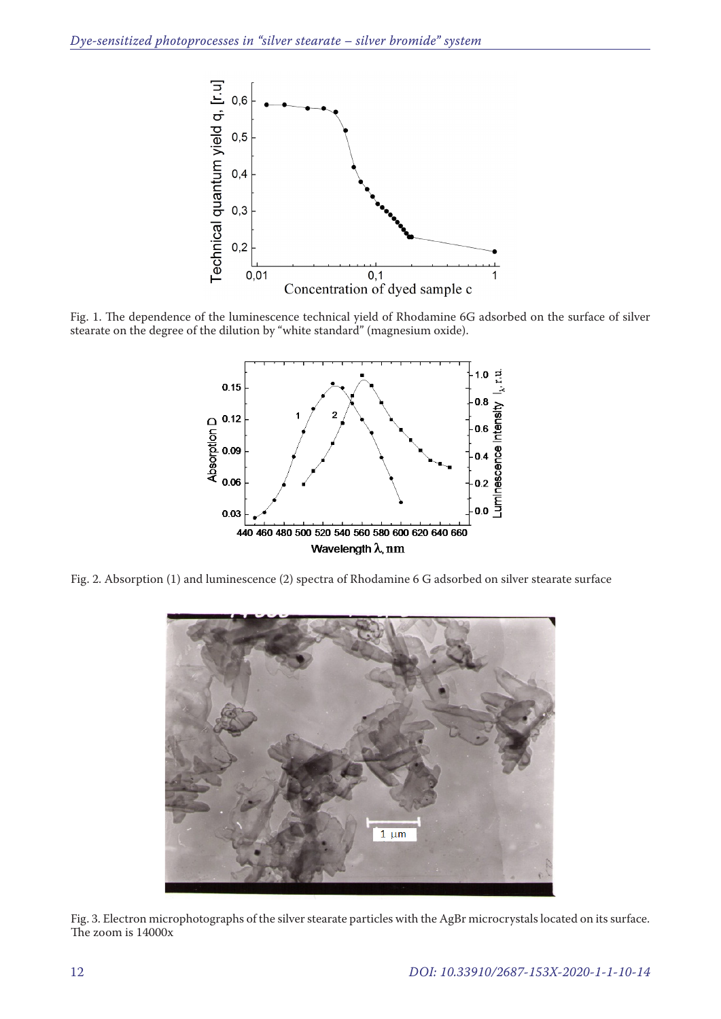

Fig. 1. The dependence of the luminescence technical yield of Rhodamine 6G adsorbed on the surface of silver stearate on the degree of the dilution by "white standard" (magnesium oxide).



Fig. 2. Absorption (1) and luminescence (2) spectra of Rhodamine 6 G adsorbed on silver stearate surface



Fig. 3. Electron microphotographs of the silver stearate particles with the AgBr microcrystals located on its surface. The zoom is 14000x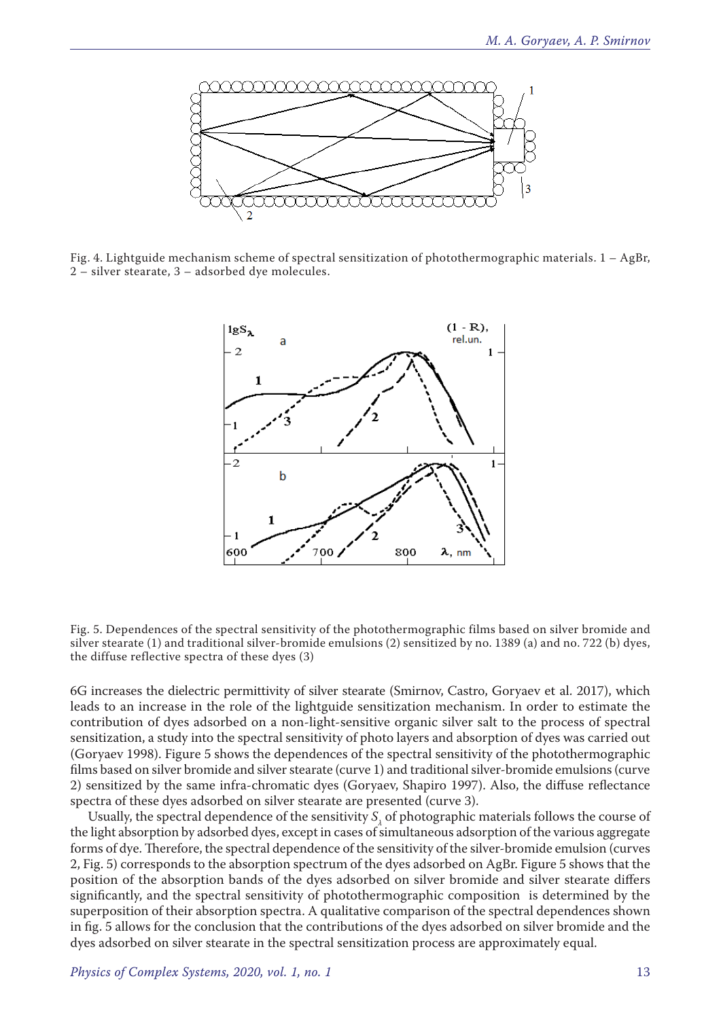

Fig. 4. Lightguide mechanism scheme of spectral sensitization of photothermographic materials. 1 – AgBr, 2 – silver stearate, 3 – adsorbed dye molecules.



Fig. 5. Dependences of the spectral sensitivity of the photothermographic films based on silver bromide and silver stearate (1) and traditional silver-bromide emulsions (2) sensitized by no. 1389 (a) and no. 722 (b) dyes, the diffuse reflective spectra of these dyes (3)

6G increases the dielectric permittivity of silver stearate (Smirnov, Castro, Goryaev et al. 2017), which leads to an increase in the role of the lightguide sensitization mechanism. In order to estimate the contribution of dyes adsorbed on a non-light-sensitive organic silver salt to the process of spectral sensitization, a study into the spectral sensitivity of photo layers and absorption of dyes was carried out (Goryaev 1998). Figure 5 shows the dependences of the spectral sensitivity of the photothermographic films based on silver bromide and silver stearate (curve 1) and traditional silver-bromide emulsions (curve 2) sensitized by the same infra-chromatic dyes (Goryaev, Shapiro 1997). Also, the diffuse reflectance spectra of these dyes adsorbed on silver stearate are presented (curve 3).

Usually, the spectral dependence of the sensitivity  $S_{\lambda}$  of photographic materials follows the course of the light absorption by adsorbed dyes, except in cases of simultaneous adsorption of the various aggregate forms of dye. Therefore, the spectral dependence of the sensitivity of the silver-bromide emulsion (curves 2, Fig. 5) corresponds to the absorption spectrum of the dyes adsorbed on AgBr. Figure 5 shows that the position of the absorption bands of the dyes adsorbed on silver bromide and silver stearate differs significantly, and the spectral sensitivity of photothermographic composition is determined by the superposition of their absorption spectra. A qualitative comparison of the spectral dependences shown in fig. 5 allows for the conclusion that the contributions of the dyes adsorbed on silver bromide and the dyes adsorbed on silver stearate in the spectral sensitization process are approximately equal.